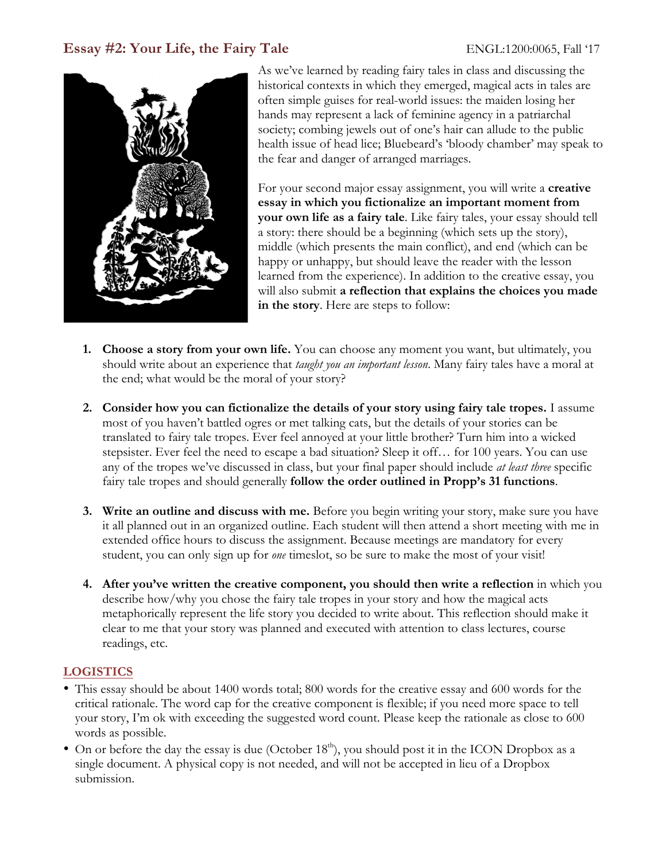# **Essay #2: Your Life, the Fairy Tale** ENGL:1200:0065, Fall '17



As we've learned by reading fairy tales in class and discussing the historical contexts in which they emerged, magical acts in tales are often simple guises for real-world issues: the maiden losing her hands may represent a lack of feminine agency in a patriarchal society; combing jewels out of one's hair can allude to the public health issue of head lice; Bluebeard's 'bloody chamber' may speak to the fear and danger of arranged marriages.

For your second major essay assignment, you will write a **creative essay in which you fictionalize an important moment from your own life as a fairy tale**. Like fairy tales, your essay should tell a story: there should be a beginning (which sets up the story), middle (which presents the main conflict), and end (which can be happy or unhappy, but should leave the reader with the lesson learned from the experience). In addition to the creative essay, you will also submit **a reflection that explains the choices you made in the story**. Here are steps to follow:

- **1. Choose a story from your own life.** You can choose any moment you want, but ultimately, you should write about an experience that *taught you an important lesson*. Many fairy tales have a moral at the end; what would be the moral of your story?
- **2. Consider how you can fictionalize the details of your story using fairy tale tropes.** I assume most of you haven't battled ogres or met talking cats, but the details of your stories can be translated to fairy tale tropes. Ever feel annoyed at your little brother? Turn him into a wicked stepsister. Ever feel the need to escape a bad situation? Sleep it off… for 100 years. You can use any of the tropes we've discussed in class, but your final paper should include *at least three* specific fairy tale tropes and should generally **follow the order outlined in Propp's 31 functions**.
- **3. Write an outline and discuss with me.** Before you begin writing your story, make sure you have it all planned out in an organized outline. Each student will then attend a short meeting with me in extended office hours to discuss the assignment. Because meetings are mandatory for every student, you can only sign up for *one* timeslot, so be sure to make the most of your visit!
- **4. After you've written the creative component, you should then write a reflection** in which you describe how/why you chose the fairy tale tropes in your story and how the magical acts metaphorically represent the life story you decided to write about. This reflection should make it clear to me that your story was planned and executed with attention to class lectures, course readings, etc.

## **LOGISTICS**

- This essay should be about 1400 words total; 800 words for the creative essay and 600 words for the critical rationale. The word cap for the creative component is flexible; if you need more space to tell your story, I'm ok with exceeding the suggested word count. Please keep the rationale as close to 600 words as possible.
- On or before the day the essay is due (October  $18<sup>th</sup>$ ), you should post it in the ICON Dropbox as a single document. A physical copy is not needed, and will not be accepted in lieu of a Dropbox submission.